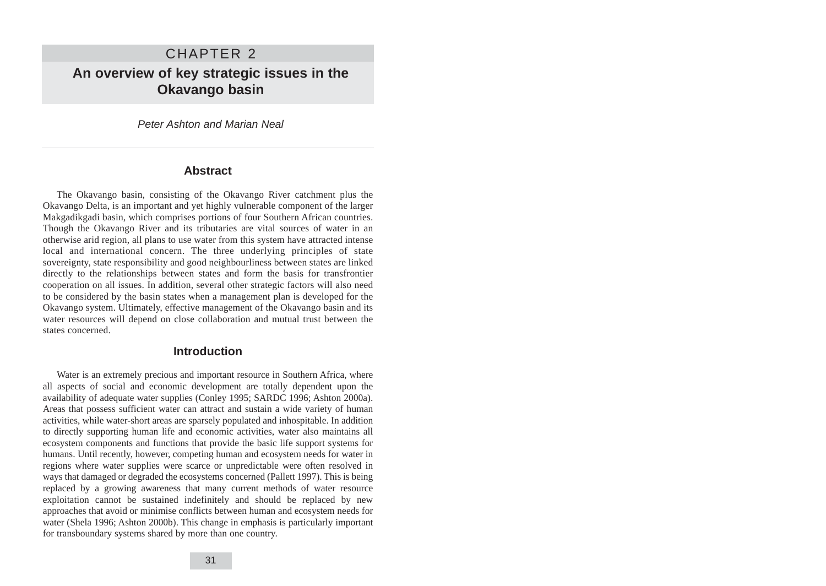# CHAPTER 2 **An overview of key strategic issues in the Okavango basin**

Peter Ashton and Marian Neal

### **Abstract**

The Okavango basin, consisting of the Okavango River catchment plus the Okavango Delta, is an important and yet highly vulnerable component of the larger Makgadikgadi basin, which comprises portions of four Southern African countries. Though the Okavango River and its tributaries are vital sources of water in an otherwise arid region, all plans to use water from this system have attracted intense local and international concern. The three underlying principles of state sovereignty, state responsibility and good neighbourliness between states are linked directly to the relationships between states and form the basis for transfrontier cooperation on all issues. In addition, several other strategic factors will also need to be considered by the basin states when a management plan is developed for the Okavango system. Ultimately, effective management of the Okavango basin and its water resources will depend on close collaboration and mutual trust between the states concerned.

### **Introduction**

Water is an extremely precious and important resource in Southern Africa, where all aspects of social and economic development are totally dependent upon the availability of adequate water supplies (Conley 1995; SARDC 1996; Ashton 2000a). Areas that possess sufficient water can attract and sustain a wide variety of human activities, while water-short areas are sparsely populated and inhospitable. In addition to directly supporting human life and economic activities, water also maintains all ecosystem components and functions that provide the basic life support systems for humans. Until recently, however, competing human and ecosystem needs for water in regions where water supplies were scarce or unpredictable were often resolved in ways that damaged or degraded the ecosystems concerned (Pallett 1997). This is being replaced by a growing awareness that many current methods of water resource exploitation cannot be sustained indefinitely and should be replaced by new approaches that avoid or minimise conflicts between human and ecosystem needs for water (Shela 1996; Ashton 2000b). This change in emphasis is particularly important for transboundary systems shared by more than one country.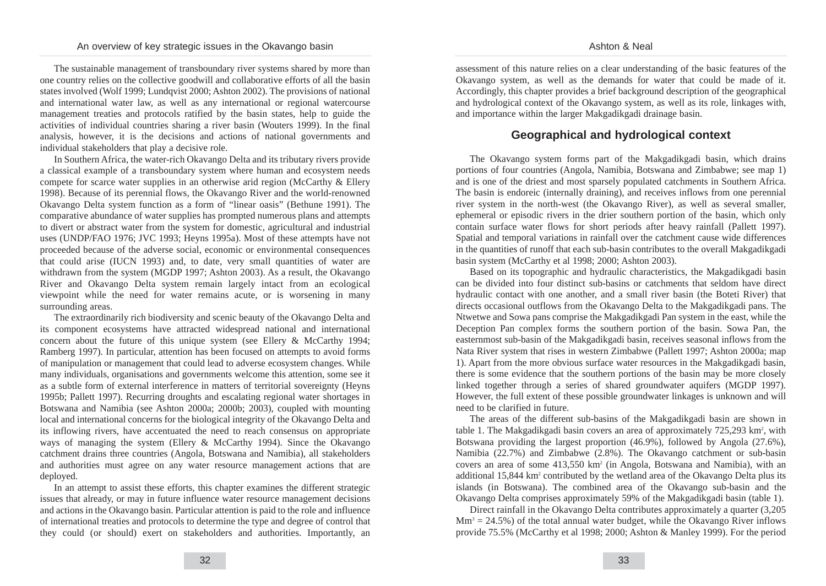The sustainable management of transboundary river systems shared by more than one country relies on the collective goodwill and collaborative efforts of all the basin states involved (Wolf 1999; Lundqvist 2000; Ashton 2002). The provisions of national and international water law, as well as any international or regional watercourse management treaties and protocols ratified by the basin states, help to guide the activities of individual countries sharing a river basin (Wouters 1999). In the final analysis, however, it is the decisions and actions of national governments and individual stakeholders that play a decisive role.

In Southern Africa, the water-rich Okavango Delta and its tributary rivers provide a classical example of a transboundary system where human and ecosystem needs compete for scarce water supplies in an otherwise arid region (McCarthy & Ellery 1998). Because of its perennial flows, the Okavango River and the world-renowned Okavango Delta system function as a form of "linear oasis" (Bethune 1991). The comparative abundance of water supplies has prompted numerous plans and attempts to divert or abstract water from the system for domestic, agricultural and industrial uses (UNDP/FAO 1976; JVC 1993; Heyns 1995a). Most of these attempts have not proceeded because of the adverse social, economic or environmental consequences that could arise (IUCN 1993) and, to date, very small quantities of water are withdrawn from the system (MGDP 1997; Ashton 2003). As a result, the Okavango River and Okavango Delta system remain largely intact from an ecological viewpoint while the need for water remains acute, or is worsening in many surrounding areas.

The extraordinarily rich biodiversity and scenic beauty of the Okavango Delta and its component ecosystems have attracted widespread national and international concern about the future of this unique system (see Ellery & McCarthy 1994; Ramberg 1997). In particular, attention has been focused on attempts to avoid forms of manipulation or management that could lead to adverse ecosystem changes. While many individuals, organisations and governments welcome this attention, some see it as a subtle form of external interference in matters of territorial sovereignty (Heyns 1995b; Pallett 1997). Recurring droughts and escalating regional water shortages in Botswana and Namibia (see Ashton 2000a; 2000b; 2003), coupled with mounting local and international concerns for the biological integrity of the Okavango Delta and its inflowing rivers, have accentuated the need to reach consensus on appropriate ways of managing the system (Ellery & McCarthy 1994). Since the Okavango catchment drains three countries (Angola, Botswana and Namibia), all stakeholders and authorities must agree on any water resource management actions that are deployed.

In an attempt to assist these efforts, this chapter examines the different strategic issues that already, or may in future influence water resource management decisions and actions in the Okavango basin. Particular attention is paid to the role and influence of international treaties and protocols to determine the type and degree of control that they could (or should) exert on stakeholders and authorities. Importantly, an assessment of this nature relies on a clear understanding of the basic features of the Okavango system, as well as the demands for water that could be made of it. Accordingly, this chapter provides a brief background description of the geographical and hydrological context of the Okavango system, as well as its role, linkages with, and importance within the larger Makgadikgadi drainage basin.

# **Geographical and hydrological context**

The Okavango system forms part of the Makgadikgadi basin, which drains portions of four countries (Angola, Namibia, Botswana and Zimbabwe; see map 1) and is one of the driest and most sparsely populated catchments in Southern Africa. The basin is endoreic (internally draining), and receives inflows from one perennial river system in the north-west (the Okavango River), as well as several smaller, ephemeral or episodic rivers in the drier southern portion of the basin, which only contain surface water flows for short periods after heavy rainfall (Pallett 1997). Spatial and temporal variations in rainfall over the catchment cause wide differences in the quantities of runoff that each sub-basin contributes to the overall Makgadikgadi basin system (McCarthy et al 1998; 2000; Ashton 2003).

Based on its topographic and hydraulic characteristics, the Makgadikgadi basin can be divided into four distinct sub-basins or catchments that seldom have direct hydraulic contact with one another, and a small river basin (the Boteti River) that directs occasional outflows from the Okavango Delta to the Makgadikgadi pans. The Ntwetwe and Sowa pans comprise the Makgadikgadi Pan system in the east, while the Deception Pan complex forms the southern portion of the basin. Sowa Pan, the easternmost sub-basin of the Makgadikgadi basin, receives seasonal inflows from the Nata River system that rises in western Zimbabwe (Pallett 1997; Ashton 2000a; map 1). Apart from the more obvious surface water resources in the Makgadikgadi basin, there is some evidence that the southern portions of the basin may be more closely linked together through a series of shared groundwater aquifers (MGDP 1997). However, the full extent of these possible groundwater linkages is unknown and will need to be clarified in future.

The areas of the different sub-basins of the Makgadikgadi basin are shown in table 1. The Makgadikgadi basin covers an area of approximately 725,293 km<sup>2</sup>, with Botswana providing the largest proportion (46.9%), followed by Angola (27.6%), Namibia (22.7%) and Zimbabwe (2.8%). The Okavango catchment or sub-basin covers an area of some 413,550 km2 (in Angola, Botswana and Namibia), with an additional 15,844 km2 contributed by the wetland area of the Okavango Delta plus its islands (in Botswana). The combined area of the Okavango sub-basin and the Okavango Delta comprises approximately 59% of the Makgadikgadi basin (table 1).

Direct rainfall in the Okavango Delta contributes approximately a quarter (3,205  $Mm<sup>3</sup> = 24.5\%$ ) of the total annual water budget, while the Okavango River inflows provide 75.5% (McCarthy et al 1998; 2000; Ashton & Manley 1999). For the period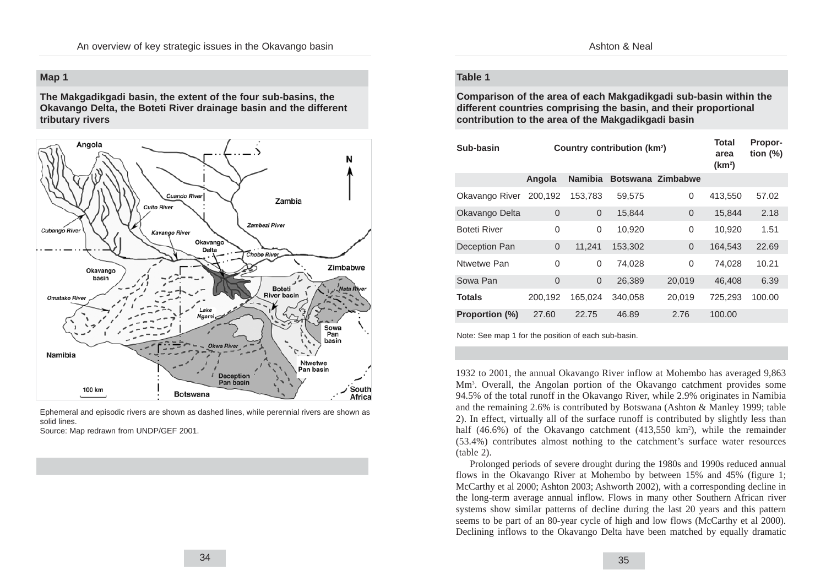### **Map 1**

**The Makgadikgadi basin, the extent of the four sub-basins, the Okavango Delta, the Boteti River drainage basin and the different tributary rivers**



Ephemeral and episodic rivers are shown as dashed lines, while perennial rivers are shown as solid lines.

Source: Map redrawn from UNDP/GEF 2001.

#### **Table 1**

**Comparison of the area of each Makgadikgadi sub-basin within the different countries comprising the basin, and their proportional contribution to the area of the Makgadikgadi basin**

| Sub-basin             |                | Country contribution (km <sup>2</sup> ) | Total<br>area<br>(km <sup>2</sup> ) | Propor-<br>tion $(\%)$ |         |        |
|-----------------------|----------------|-----------------------------------------|-------------------------------------|------------------------|---------|--------|
|                       | Angola         | <b>Namibia</b>                          |                                     | Botswana Zimbabwe      |         |        |
| Okavango River        | 200,192        | 153,783                                 | 59,575                              | 0                      | 413,550 | 57.02  |
| Okavango Delta        | $\overline{0}$ | $\overline{0}$                          | 15,844                              | $\overline{0}$         | 15,844  | 2.18   |
| <b>Boteti River</b>   | 0              | 0                                       | 10,920                              | $\overline{0}$         | 10,920  | 1.51   |
| Deception Pan         | $\overline{0}$ | 11,241                                  | 153.302                             | $\Omega$               | 164,543 | 22.69  |
| Ntwetwe Pan           | 0              | 0                                       | 74,028                              | $\overline{0}$         | 74.028  | 10.21  |
| Sowa Pan              | $\Omega$       | 0                                       | 26,389                              | 20,019                 | 46,408  | 6.39   |
| <b>Totals</b>         | 200,192        | 165,024                                 | 340.058                             | 20,019                 | 725,293 | 100.00 |
| <b>Proportion (%)</b> | 27.60          | 22.75                                   | 46.89                               | 2.76                   | 100.00  |        |

Note: See map 1 for the position of each sub-basin.

1932 to 2001, the annual Okavango River inflow at Mohembo has averaged 9,863 Mm3 . Overall, the Angolan portion of the Okavango catchment provides some 94.5% of the total runoff in the Okavango River, while 2.9% originates in Namibia and the remaining 2.6% is contributed by Botswana (Ashton & Manley 1999; table 2). In effect, virtually all of the surface runoff is contributed by slightly less than half (46.6%) of the Okavango catchment (413,550 km<sup>2</sup>), while the remainder (53.4%) contributes almost nothing to the catchment's surface water resources (table 2).

Prolonged periods of severe drought during the 1980s and 1990s reduced annual flows in the Okavango River at Mohembo by between 15% and 45% (figure 1; McCarthy et al 2000; Ashton 2003; Ashworth 2002), with a corresponding decline in the long-term average annual inflow. Flows in many other Southern African river systems show similar patterns of decline during the last 20 years and this pattern seems to be part of an 80-year cycle of high and low flows (McCarthy et al 2000). Declining inflows to the Okavango Delta have been matched by equally dramatic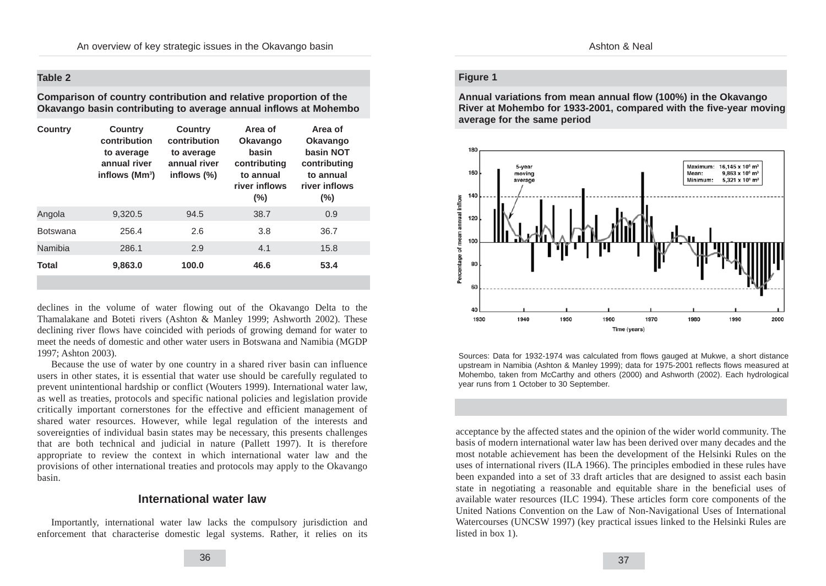#### **Table 2**

**Comparison of country contribution and relative proportion of the Okavango basin contributing to average annual inflows at Mohembo**

| <b>Country</b>  | <b>Country</b><br>contribution<br>to average<br>annual river<br>inflows $(Mm3)$ | <b>Country</b><br>contribution<br>to average<br>annual river<br>inflows $(\%)$ | Area of<br><b>Okavango</b><br>basin<br>contributing<br>to annual<br>river inflows<br>$(\% )$ | Area of<br><b>Okavango</b><br>basin NOT<br>contributing<br>to annual<br>river inflows<br>$(\%)$ |
|-----------------|---------------------------------------------------------------------------------|--------------------------------------------------------------------------------|----------------------------------------------------------------------------------------------|-------------------------------------------------------------------------------------------------|
| Angola          | 9,320.5                                                                         | 94.5                                                                           | 38.7                                                                                         | 0.9                                                                                             |
| <b>Botswana</b> | 256.4                                                                           | 2.6                                                                            | 3.8                                                                                          | 36.7                                                                                            |
| Namibia         | 286.1                                                                           | 2.9                                                                            | 4.1                                                                                          | 15.8                                                                                            |
| <b>Total</b>    | 9,863.0                                                                         | 100.0                                                                          | 46.6                                                                                         | 53.4                                                                                            |

declines in the volume of water flowing out of the Okavango Delta to the Thamalakane and Boteti rivers (Ashton & Manley 1999; Ashworth 2002). These declining river flows have coincided with periods of growing demand for water to meet the needs of domestic and other water users in Botswana and Namibia (MGDP 1997; Ashton 2003).

Because the use of water by one country in a shared river basin can influence users in other states, it is essential that water use should be carefully regulated to prevent unintentional hardship or conflict (Wouters 1999). International water law, as well as treaties, protocols and specific national policies and legislation provide critically important cornerstones for the effective and efficient management of shared water resources. However, while legal regulation of the interests and sovereignties of individual basin states may be necessary, this presents challenges that are both technical and judicial in nature (Pallett 1997). It is therefore appropriate to review the context in which international water law and the provisions of other international treaties and protocols may apply to the Okavango basin.

### **International water law**

Importantly, international water law lacks the compulsory jurisdiction and enforcement that characterise domestic legal systems. Rather, it relies on its

### **Figure 1**

**Annual variations from mean annual flow (100%) in the Okavango River at Mohembo for 1933-2001, compared with the five-year moving average for the same period**



Sources: Data for 1932-1974 was calculated from flows gauged at Mukwe, a short distance upstream in Namibia (Ashton & Manley 1999); data for 1975-2001 reflects flows measured at Mohembo, taken from McCarthy and others (2000) and Ashworth (2002). Each hydrological year runs from 1 October to 30 September.

acceptance by the affected states and the opinion of the wider world community. The basis of modern international water law has been derived over many decades and the most notable achievement has been the development of the Helsinki Rules on the uses of international rivers (ILA 1966). The principles embodied in these rules have been expanded into a set of 33 draft articles that are designed to assist each basin state in negotiating a reasonable and equitable share in the beneficial uses of available water resources (ILC 1994). These articles form core components of the United Nations Convention on the Law of Non-Navigational Uses of International Watercourses (UNCSW 1997) (key practical issues linked to the Helsinki Rules are listed in box 1).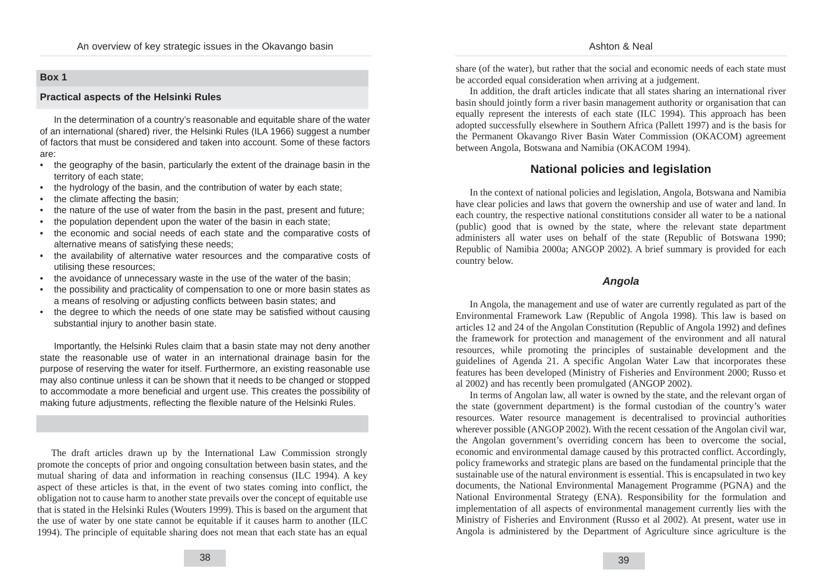#### Ashton & Neal

### **Box 1**

#### **Practical aspects of the Helsinki Rules**

In the determination of a country's reasonable and equitable share of the water of an international (shared) river, the Helsinki Rules (ILA 1966) suggest a number of factors that must be considered and taken into account. Some of these factors are:

- the geography of the basin, particularly the extent of the drainage basin in the territory of each state;
- the hydrology of the basin, and the contribution of water by each state;
- the climate affecting the basin;
- the nature of the use of water from the basin in the past, present and future;
- the population dependent upon the water of the basin in each state;
- the economic and social needs of each state and the comparative costs of alternative means of satisfying these needs;
- the availability of alternative water resources and the comparative costs of utilising these resources;
- the avoidance of unnecessary waste in the use of the water of the basin;
- the possibility and practicality of compensation to one or more basin states as a means of resolving or adjusting conflicts between basin states; and
- the degree to which the needs of one state may be satisfied without causing substantial injury to another basin state.

Importantly, the Helsinki Rules claim that a basin state may not deny another state the reasonable use of water in an international drainage basin for the purpose of reserving the water for itself. Furthermore, an existing reasonable use may also continue unless it can be shown that it needs to be changed or stopped to accommodate a more beneficial and urgent use. This creates the possibility of making future adjustments, reflecting the flexible nature of the Helsinki Rules.

The draft articles drawn up by the International Law Commission strongly promote the concepts of prior and ongoing consultation between basin states, and the mutual sharing of data and information in reaching consensus (ILC 1994). A key aspect of these articles is that, in the event of two states coming into conflict, the obligation not to cause harm to another state prevails over the concept of equitable use that is stated in the Helsinki Rules (Wouters 1999). This is based on the argument that the use of water by one state cannot be equitable if it causes harm to another (ILC 1994). The principle of equitable sharing does not mean that each state has an equal share (of the water), but rather that the social and economic needs of each state must be accorded equal consideration when arriving at a judgement.

In addition, the draft articles indicate that all states sharing an international river basin should jointly form a river basin management authority or organisation that can equally represent the interests of each state (ILC 1994). This approach has been adopted successfully elsewhere in Southern Africa (Pallett 1997) and is the basis for the Permanent Okavango River Basin Water Commission (OKACOM) agreement between Angola, Botswana and Namibia (OKACOM 1994).

# **National policies and legislation**

In the context of national policies and legislation, Angola, Botswana and Namibia have clear policies and laws that govern the ownership and use of water and land. In each country, the respective national constitutions consider all water to be a national (public) good that is owned by the state, where the relevant state department administers all water uses on behalf of the state (Republic of Botswana 1990; Republic of Namibia 2000a; ANGOP 2002). A brief summary is provided for each country below.

### **Angola**

In Angola, the management and use of water are currently regulated as part of the Environmental Framework Law (Republic of Angola 1998). This law is based on articles 12 and 24 of the Angolan Constitution (Republic of Angola 1992) and defines the framework for protection and management of the environment and all natural resources, while promoting the principles of sustainable development and the guidelines of Agenda 21. A specific Angolan Water Law that incorporates these features has been developed (Ministry of Fisheries and Environment 2000; Russo et al 2002) and has recently been promulgated (ANGOP 2002).

In terms of Angolan law, all water is owned by the state, and the relevant organ of the state (government department) is the formal custodian of the country's water resources. Water resource management is decentralised to provincial authorities wherever possible (ANGOP 2002). With the recent cessation of the Angolan civil war, the Angolan government's overriding concern has been to overcome the social, economic and environmental damage caused by this protracted conflict. Accordingly, policy frameworks and strategic plans are based on the fundamental principle that the sustainable use of the natural environment is essential. This is encapsulated in two key documents, the National Environmental Management Programme (PGNA) and the National Environmental Strategy (ENA). Responsibility for the formulation and implementation of all aspects of environmental management currently lies with the Ministry of Fisheries and Environment (Russo et al 2002). At present, water use in Angola is administered by the Department of Agriculture since agriculture is the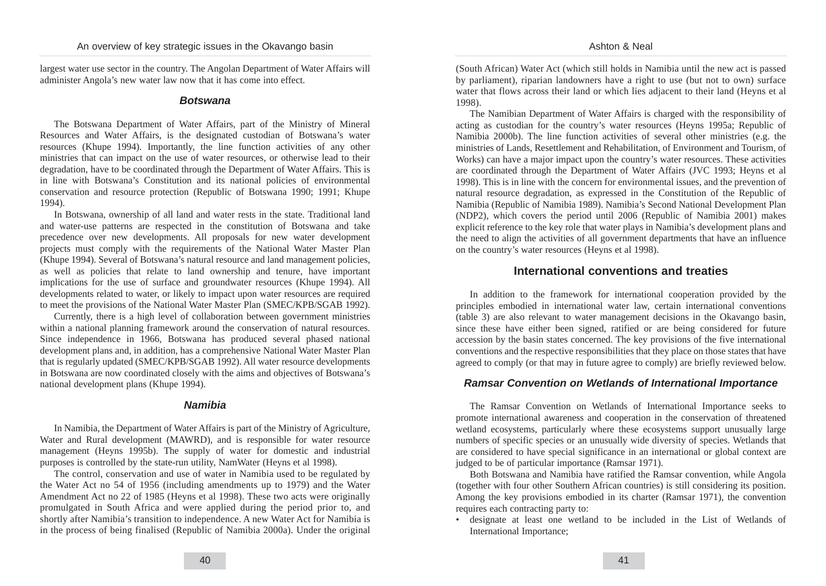largest water use sector in the country. The Angolan Department of Water Affairs will administer Angola's new water law now that it has come into effect.

#### **Botswana**

The Botswana Department of Water Affairs, part of the Ministry of Mineral Resources and Water Affairs, is the designated custodian of Botswana's water resources (Khupe 1994). Importantly, the line function activities of any other ministries that can impact on the use of water resources, or otherwise lead to their degradation, have to be coordinated through the Department of Water Affairs. This is in line with Botswana's Constitution and its national policies of environmental conservation and resource protection (Republic of Botswana 1990; 1991; Khupe 1994).

In Botswana, ownership of all land and water rests in the state. Traditional land and water-use patterns are respected in the constitution of Botswana and take precedence over new developments. All proposals for new water development projects must comply with the requirements of the National Water Master Plan (Khupe 1994). Several of Botswana's natural resource and land management policies, as well as policies that relate to land ownership and tenure, have important implications for the use of surface and groundwater resources (Khupe 1994). All developments related to water, or likely to impact upon water resources are required to meet the provisions of the National Water Master Plan (SMEC/KPB/SGAB 1992).

Currently, there is a high level of collaboration between government ministries within a national planning framework around the conservation of natural resources. Since independence in 1966, Botswana has produced several phased national development plans and, in addition, has a comprehensive National Water Master Plan that is regularly updated (SMEC/KPB/SGAB 1992). All water resource developments in Botswana are now coordinated closely with the aims and objectives of Botswana's national development plans (Khupe 1994).

#### **Namibia**

In Namibia, the Department of Water Affairs is part of the Ministry of Agriculture, Water and Rural development (MAWRD), and is responsible for water resource management (Heyns 1995b). The supply of water for domestic and industrial purposes is controlled by the state-run utility, NamWater (Heyns et al 1998).

The control, conservation and use of water in Namibia used to be regulated by the Water Act no 54 of 1956 (including amendments up to 1979) and the Water Amendment Act no 22 of 1985 (Heyns et al 1998). These two acts were originally promulgated in South Africa and were applied during the period prior to, and shortly after Namibia's transition to independence. A new Water Act for Namibia is in the process of being finalised (Republic of Namibia 2000a). Under the original (South African) Water Act (which still holds in Namibia until the new act is passed by parliament), riparian landowners have a right to use (but not to own) surface water that flows across their land or which lies adjacent to their land (Heyns et al 1998).

The Namibian Department of Water Affairs is charged with the responsibility of acting as custodian for the country's water resources (Heyns 1995a; Republic of Namibia 2000b). The line function activities of several other ministries (e.g. the ministries of Lands, Resettlement and Rehabilitation, of Environment and Tourism, of Works) can have a major impact upon the country's water resources. These activities are coordinated through the Department of Water Affairs (JVC 1993; Heyns et al 1998). This is in line with the concern for environmental issues, and the prevention of natural resource degradation, as expressed in the Constitution of the Republic of Namibia (Republic of Namibia 1989). Namibia's Second National Development Plan (NDP2), which covers the period until 2006 (Republic of Namibia 2001) makes explicit reference to the key role that water plays in Namibia's development plans and the need to align the activities of all government departments that have an influence on the country's water resources (Heyns et al 1998).

### **International conventions and treaties**

In addition to the framework for international cooperation provided by the principles embodied in international water law, certain international conventions (table 3) are also relevant to water management decisions in the Okavango basin, since these have either been signed, ratified or are being considered for future accession by the basin states concerned. The key provisions of the five international conventions and the respective responsibilities that they place on those states that have agreed to comply (or that may in future agree to comply) are briefly reviewed below.

#### **Ramsar Convention on Wetlands of International Importance**

The Ramsar Convention on Wetlands of International Importance seeks to promote international awareness and cooperation in the conservation of threatened wetland ecosystems, particularly where these ecosystems support unusually large numbers of specific species or an unusually wide diversity of species. Wetlands that are considered to have special significance in an international or global context are judged to be of particular importance (Ramsar 1971).

Both Botswana and Namibia have ratified the Ramsar convention, while Angola (together with four other Southern African countries) is still considering its position. Among the key provisions embodied in its charter (Ramsar 1971), the convention requires each contracting party to:

• designate at least one wetland to be included in the List of Wetlands of International Importance;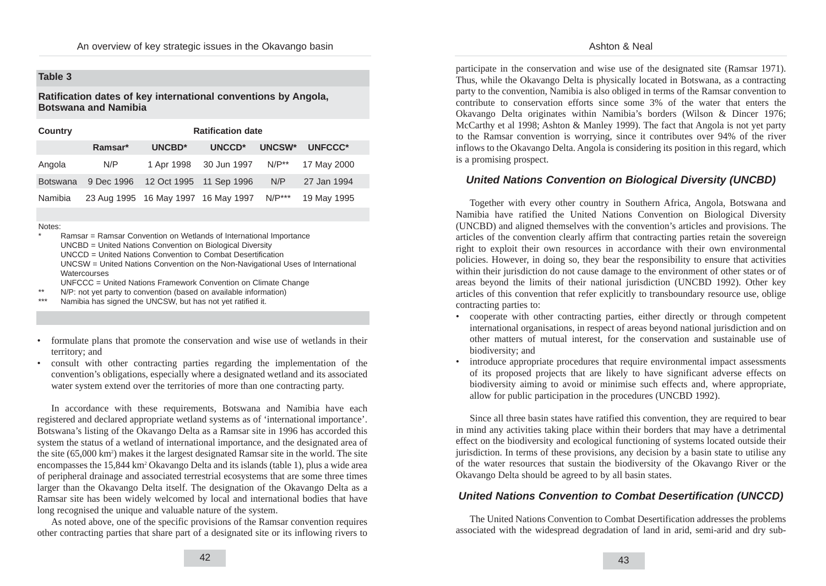### **Table 3**

### **Ratification dates of key international conventions by Angola, Botswana and Namibia**

| <b>Country</b>  | <b>Ratification date</b> |                                     |             |            |             |  |  |
|-----------------|--------------------------|-------------------------------------|-------------|------------|-------------|--|--|
|                 | Ramsar*                  | UNCBD*                              | UNCCD*      | UNCSW*     | UNFCCC*     |  |  |
| Angola          | N/P                      | 1 Apr 1998                          | 30 Jun 1997 | $N/P^{**}$ | 17 May 2000 |  |  |
| <b>Botswana</b> | 9 Dec 1996               | 12 Oct 1995 11 Sep 1996             |             | N/P        | 27 Jan 1994 |  |  |
| Namibia         |                          | 23 Aug 1995 16 May 1997 16 May 1997 |             | $N/P***$   | 19 May 1995 |  |  |

Notes:

Ramsar = Ramsar Convention on Wetlands of International Importance UNCBD = United Nations Convention on Biological Diversity UNCCD = United Nations Convention to Combat Desertification UNCSW = United Nations Convention on the Non-Navigational Uses of International **Watercourses** 

UNFCCC = United Nations Framework Convention on Climate Change

- \*\* N/P: not yet party to convention (based on available information) Namibia has signed the UNCSW, but has not yet ratified it.
- formulate plans that promote the conservation and wise use of wetlands in their territory; and
- consult with other contracting parties regarding the implementation of the convention's obligations, especially where a designated wetland and its associated water system extend over the territories of more than one contracting party.

In accordance with these requirements, Botswana and Namibia have each registered and declared appropriate wetland systems as of 'international importance'. Botswana's listing of the Okavango Delta as a Ramsar site in 1996 has accorded this system the status of a wetland of international importance, and the designated area of the site (65,000 km<sup>2</sup>) makes it the largest designated Ramsar site in the world. The site encompasses the 15,844 km2 Okavango Delta and its islands (table 1), plus a wide area of peripheral drainage and associated terrestrial ecosystems that are some three times larger than the Okavango Delta itself. The designation of the Okavango Delta as a Ramsar site has been widely welcomed by local and international bodies that have long recognised the unique and valuable nature of the system.

As noted above, one of the specific provisions of the Ramsar convention requires other contracting parties that share part of a designated site or its inflowing rivers to

participate in the conservation and wise use of the designated site (Ramsar 1971). Thus, while the Okavango Delta is physically located in Botswana, as a contracting party to the convention, Namibia is also obliged in terms of the Ramsar convention to contribute to conservation efforts since some 3% of the water that enters the Okavango Delta originates within Namibia's borders (Wilson & Dincer 1976; McCarthy et al 1998; Ashton & Manley 1999). The fact that Angola is not yet party to the Ramsar convention is worrying, since it contributes over 94% of the river inflows to the Okavango Delta. Angola is considering its position in this regard, which is a promising prospect.

# **United Nations Convention on Biological Diversity (UNCBD)**

Together with every other country in Southern Africa, Angola, Botswana and Namibia have ratified the United Nations Convention on Biological Diversity (UNCBD) and aligned themselves with the convention's articles and provisions. The articles of the convention clearly affirm that contracting parties retain the sovereign right to exploit their own resources in accordance with their own environmental policies. However, in doing so, they bear the responsibility to ensure that activities within their jurisdiction do not cause damage to the environment of other states or of areas beyond the limits of their national jurisdiction (UNCBD 1992). Other key articles of this convention that refer explicitly to transboundary resource use, oblige contracting parties to:

- cooperate with other contracting parties, either directly or through competent international organisations, in respect of areas beyond national jurisdiction and on other matters of mutual interest, for the conservation and sustainable use of biodiversity; and
- introduce appropriate procedures that require environmental impact assessments of its proposed projects that are likely to have significant adverse effects on biodiversity aiming to avoid or minimise such effects and, where appropriate, allow for public participation in the procedures (UNCBD 1992).

Since all three basin states have ratified this convention, they are required to bear in mind any activities taking place within their borders that may have a detrimental effect on the biodiversity and ecological functioning of systems located outside their jurisdiction. In terms of these provisions, any decision by a basin state to utilise any of the water resources that sustain the biodiversity of the Okavango River or the Okavango Delta should be agreed to by all basin states.

# **United Nations Convention to Combat Desertification (UNCCD)**

The United Nations Convention to Combat Desertification addresses the problems associated with the widespread degradation of land in arid, semi-arid and dry sub-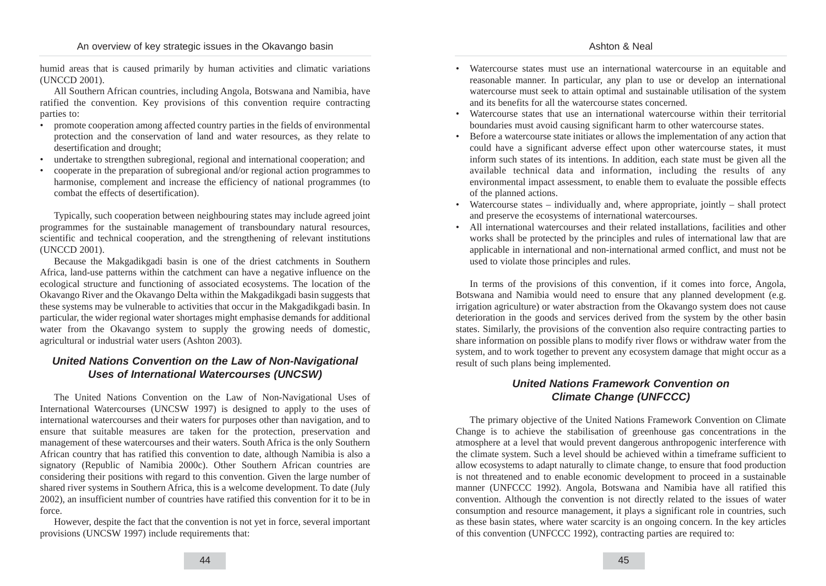Ashton & Neal

humid areas that is caused primarily by human activities and climatic variations (UNCCD 2001).

All Southern African countries, including Angola, Botswana and Namibia, have ratified the convention. Key provisions of this convention require contracting parties to:

- promote cooperation among affected country parties in the fields of environmental protection and the conservation of land and water resources, as they relate to desertification and drought;
- undertake to strengthen subregional, regional and international cooperation; and
- cooperate in the preparation of subregional and/or regional action programmes to harmonise, complement and increase the efficiency of national programmes (to combat the effects of desertification).

Typically, such cooperation between neighbouring states may include agreed joint programmes for the sustainable management of transboundary natural resources, scientific and technical cooperation, and the strengthening of relevant institutions (UNCCD 2001).

Because the Makgadikgadi basin is one of the driest catchments in Southern Africa, land-use patterns within the catchment can have a negative influence on the ecological structure and functioning of associated ecosystems. The location of the Okavango River and the Okavango Delta within the Makgadikgadi basin suggests that these systems may be vulnerable to activities that occur in the Makgadikgadi basin. In particular, the wider regional water shortages might emphasise demands for additional water from the Okavango system to supply the growing needs of domestic, agricultural or industrial water users (Ashton 2003).

## **United Nations Convention on the Law of Non-Navigational Uses of International Watercourses (UNCSW)**

The United Nations Convention on the Law of Non-Navigational Uses of International Watercourses (UNCSW 1997) is designed to apply to the uses of international watercourses and their waters for purposes other than navigation, and to ensure that suitable measures are taken for the protection, preservation and management of these watercourses and their waters. South Africa is the only Southern African country that has ratified this convention to date, although Namibia is also a signatory (Republic of Namibia 2000c). Other Southern African countries are considering their positions with regard to this convention. Given the large number of shared river systems in Southern Africa, this is a welcome development. To date (July 2002), an insufficient number of countries have ratified this convention for it to be in force.

However, despite the fact that the convention is not yet in force, several important provisions (UNCSW 1997) include requirements that:

- Watercourse states must use an international watercourse in an equitable and reasonable manner. In particular, any plan to use or develop an international watercourse must seek to attain optimal and sustainable utilisation of the system and its benefits for all the watercourse states concerned.
- Watercourse states that use an international watercourse within their territorial boundaries must avoid causing significant harm to other watercourse states.
- Before a watercourse state initiates or allows the implementation of any action that could have a significant adverse effect upon other watercourse states, it must inform such states of its intentions. In addition, each state must be given all the available technical data and information, including the results of any environmental impact assessment, to enable them to evaluate the possible effects of the planned actions.
- Watercourse states individually and, where appropriate, jointly shall protect and preserve the ecosystems of international watercourses.
- All international watercourses and their related installations, facilities and other works shall be protected by the principles and rules of international law that are applicable in international and non-international armed conflict, and must not be used to violate those principles and rules.

In terms of the provisions of this convention, if it comes into force, Angola, Botswana and Namibia would need to ensure that any planned development (e.g. irrigation agriculture) or water abstraction from the Okavango system does not cause deterioration in the goods and services derived from the system by the other basin states. Similarly, the provisions of the convention also require contracting parties to share information on possible plans to modify river flows or withdraw water from the system, and to work together to prevent any ecosystem damage that might occur as a result of such plans being implemented.

# **United Nations Framework Convention on Climate Change (UNFCCC)**

The primary objective of the United Nations Framework Convention on Climate Change is to achieve the stabilisation of greenhouse gas concentrations in the atmosphere at a level that would prevent dangerous anthropogenic interference with the climate system. Such a level should be achieved within a timeframe sufficient to allow ecosystems to adapt naturally to climate change, to ensure that food production is not threatened and to enable economic development to proceed in a sustainable manner (UNFCCC 1992). Angola, Botswana and Namibia have all ratified this convention. Although the convention is not directly related to the issues of water consumption and resource management, it plays a significant role in countries, such as these basin states, where water scarcity is an ongoing concern. In the key articles of this convention (UNFCCC 1992), contracting parties are required to: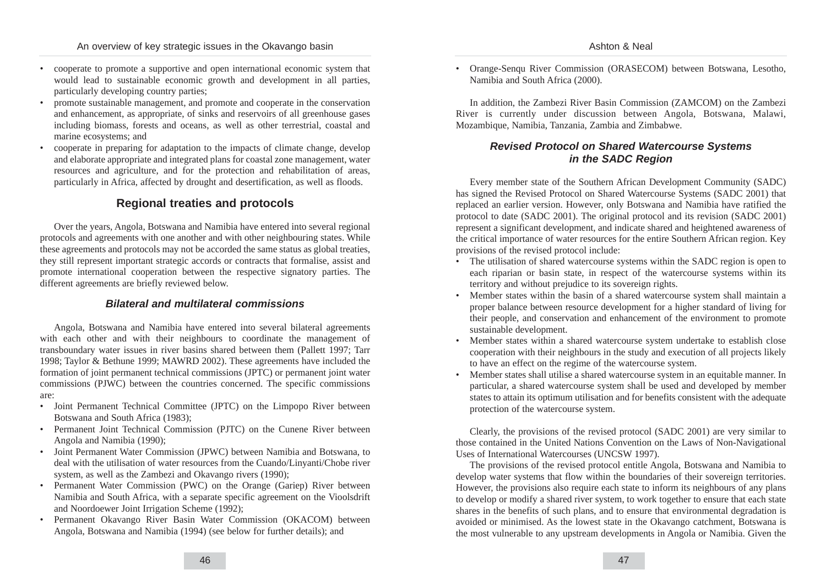- cooperate to promote a supportive and open international economic system that would lead to sustainable economic growth and development in all parties, particularly developing country parties;
- promote sustainable management, and promote and cooperate in the conservation and enhancement, as appropriate, of sinks and reservoirs of all greenhouse gases including biomass, forests and oceans, as well as other terrestrial, coastal and marine ecosystems; and
- cooperate in preparing for adaptation to the impacts of climate change, develop and elaborate appropriate and integrated plans for coastal zone management, water resources and agriculture, and for the protection and rehabilitation of areas, particularly in Africa, affected by drought and desertification, as well as floods.

# **Regional treaties and protocols**

Over the years, Angola, Botswana and Namibia have entered into several regional protocols and agreements with one another and with other neighbouring states. While these agreements and protocols may not be accorded the same status as global treaties, they still represent important strategic accords or contracts that formalise, assist and promote international cooperation between the respective signatory parties. The different agreements are briefly reviewed below.

### **Bilateral and multilateral commissions**

Angola, Botswana and Namibia have entered into several bilateral agreements with each other and with their neighbours to coordinate the management of transboundary water issues in river basins shared between them (Pallett 1997; Tarr 1998; Taylor & Bethune 1999; MAWRD 2002). These agreements have included the formation of joint permanent technical commissions (JPTC) or permanent joint water commissions (PJWC) between the countries concerned. The specific commissions are:

- Joint Permanent Technical Committee (JPTC) on the Limpopo River between Botswana and South Africa (1983);
- Permanent Joint Technical Commission (PJTC) on the Cunene River between Angola and Namibia (1990);
- Joint Permanent Water Commission (JPWC) between Namibia and Botswana, to deal with the utilisation of water resources from the Cuando/Linyanti/Chobe river system, as well as the Zambezi and Okavango rivers (1990);
- Permanent Water Commission (PWC) on the Orange (Gariep) River between Namibia and South Africa, with a separate specific agreement on the Vioolsdrift and Noordoewer Joint Irrigation Scheme (1992);
- Permanent Okavango River Basin Water Commission (OKACOM) between Angola, Botswana and Namibia (1994) (see below for further details); and

• Orange-Senqu River Commission (ORASECOM) between Botswana, Lesotho, Namibia and South Africa (2000).

In addition, the Zambezi River Basin Commission (ZAMCOM) on the Zambezi River is currently under discussion between Angola, Botswana, Malawi, Mozambique, Namibia, Tanzania, Zambia and Zimbabwe.

# **Revised Protocol on Shared Watercourse Systems in the SADC Region**

Every member state of the Southern African Development Community (SADC) has signed the Revised Protocol on Shared Watercourse Systems (SADC 2001) that replaced an earlier version. However, only Botswana and Namibia have ratified the protocol to date (SADC 2001). The original protocol and its revision (SADC 2001) represent a significant development, and indicate shared and heightened awareness of the critical importance of water resources for the entire Southern African region. Key provisions of the revised protocol include:

- The utilisation of shared watercourse systems within the SADC region is open to each riparian or basin state, in respect of the watercourse systems within its territory and without prejudice to its sovereign rights.
- Member states within the basin of a shared watercourse system shall maintain a proper balance between resource development for a higher standard of living for their people, and conservation and enhancement of the environment to promote sustainable development.
- Member states within a shared watercourse system undertake to establish close cooperation with their neighbours in the study and execution of all projects likely to have an effect on the regime of the watercourse system.
- Member states shall utilise a shared watercourse system in an equitable manner. In particular, a shared watercourse system shall be used and developed by member states to attain its optimum utilisation and for benefits consistent with the adequate protection of the watercourse system.

Clearly, the provisions of the revised protocol (SADC 2001) are very similar to those contained in the United Nations Convention on the Laws of Non-Navigational Uses of International Watercourses (UNCSW 1997).

The provisions of the revised protocol entitle Angola, Botswana and Namibia to develop water systems that flow within the boundaries of their sovereign territories. However, the provisions also require each state to inform its neighbours of any plans to develop or modify a shared river system, to work together to ensure that each state shares in the benefits of such plans, and to ensure that environmental degradation is avoided or minimised. As the lowest state in the Okavango catchment, Botswana is the most vulnerable to any upstream developments in Angola or Namibia. Given the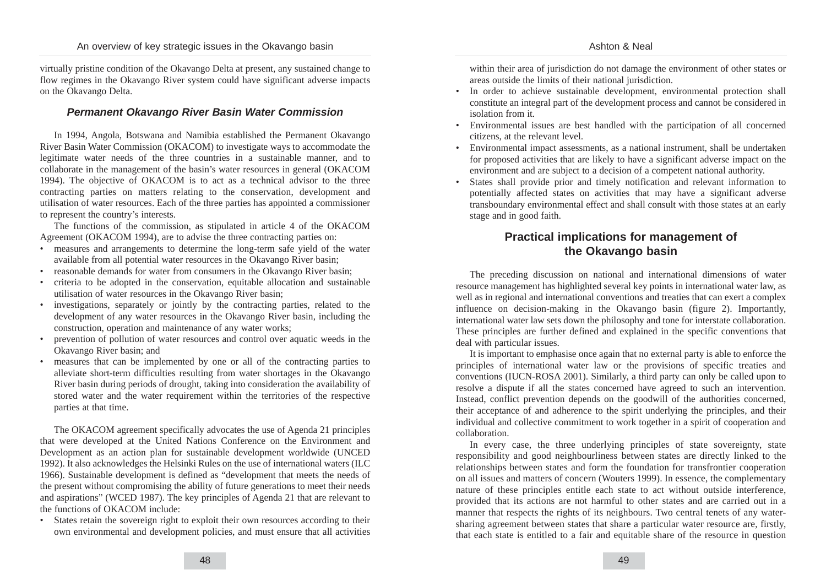virtually pristine condition of the Okavango Delta at present, any sustained change to flow regimes in the Okavango River system could have significant adverse impacts on the Okavango Delta.

### **Permanent Okavango River Basin Water Commission**

In 1994, Angola, Botswana and Namibia established the Permanent Okavango River Basin Water Commission (OKACOM) to investigate ways to accommodate the legitimate water needs of the three countries in a sustainable manner, and to collaborate in the management of the basin's water resources in general (OKACOM 1994). The objective of OKACOM is to act as a technical advisor to the three contracting parties on matters relating to the conservation, development and utilisation of water resources. Each of the three parties has appointed a commissioner to represent the country's interests.

The functions of the commission, as stipulated in article 4 of the OKACOM Agreement (OKACOM 1994), are to advise the three contracting parties on:

- measures and arrangements to determine the long-term safe yield of the water available from all potential water resources in the Okavango River basin;
- reasonable demands for water from consumers in the Okavango River basin;
- criteria to be adopted in the conservation, equitable allocation and sustainable utilisation of water resources in the Okavango River basin;
- investigations, separately or jointly by the contracting parties, related to the development of any water resources in the Okavango River basin, including the construction, operation and maintenance of any water works;
- prevention of pollution of water resources and control over aquatic weeds in the Okavango River basin; and
- measures that can be implemented by one or all of the contracting parties to alleviate short-term difficulties resulting from water shortages in the Okavango River basin during periods of drought, taking into consideration the availability of stored water and the water requirement within the territories of the respective parties at that time.

The OKACOM agreement specifically advocates the use of Agenda 21 principles that were developed at the United Nations Conference on the Environment and Development as an action plan for sustainable development worldwide (UNCED 1992). It also acknowledges the Helsinki Rules on the use of international waters (ILC 1966). Sustainable development is defined as "development that meets the needs of the present without compromising the ability of future generations to meet their needs and aspirations" (WCED 1987). The key principles of Agenda 21 that are relevant to the functions of OKACOM include:

• States retain the sovereign right to exploit their own resources according to their own environmental and development policies, and must ensure that all activities

within their area of jurisdiction do not damage the environment of other states or areas outside the limits of their national jurisdiction.

- In order to achieve sustainable development, environmental protection shall constitute an integral part of the development process and cannot be considered in isolation from it.
- Environmental issues are best handled with the participation of all concerned citizens, at the relevant level.
- Environmental impact assessments, as a national instrument, shall be undertaken for proposed activities that are likely to have a significant adverse impact on the environment and are subject to a decision of a competent national authority.
- States shall provide prior and timely notification and relevant information to potentially affected states on activities that may have a significant adverse transboundary environmental effect and shall consult with those states at an early stage and in good faith.

# **Practical implications for management of the Okavango basin**

The preceding discussion on national and international dimensions of water resource management has highlighted several key points in international water law, as well as in regional and international conventions and treaties that can exert a complex influence on decision-making in the Okavango basin (figure 2). Importantly, international water law sets down the philosophy and tone for interstate collaboration. These principles are further defined and explained in the specific conventions that deal with particular issues.

It is important to emphasise once again that no external party is able to enforce the principles of international water law or the provisions of specific treaties and conventions (IUCN-ROSA 2001). Similarly, a third party can only be called upon to resolve a dispute if all the states concerned have agreed to such an intervention. Instead, conflict prevention depends on the goodwill of the authorities concerned, their acceptance of and adherence to the spirit underlying the principles, and their individual and collective commitment to work together in a spirit of cooperation and collaboration.

In every case, the three underlying principles of state sovereignty, state responsibility and good neighbourliness between states are directly linked to the relationships between states and form the foundation for transfrontier cooperation on all issues and matters of concern (Wouters 1999). In essence, the complementary nature of these principles entitle each state to act without outside interference, provided that its actions are not harmful to other states and are carried out in a manner that respects the rights of its neighbours. Two central tenets of any watersharing agreement between states that share a particular water resource are, firstly, that each state is entitled to a fair and equitable share of the resource in question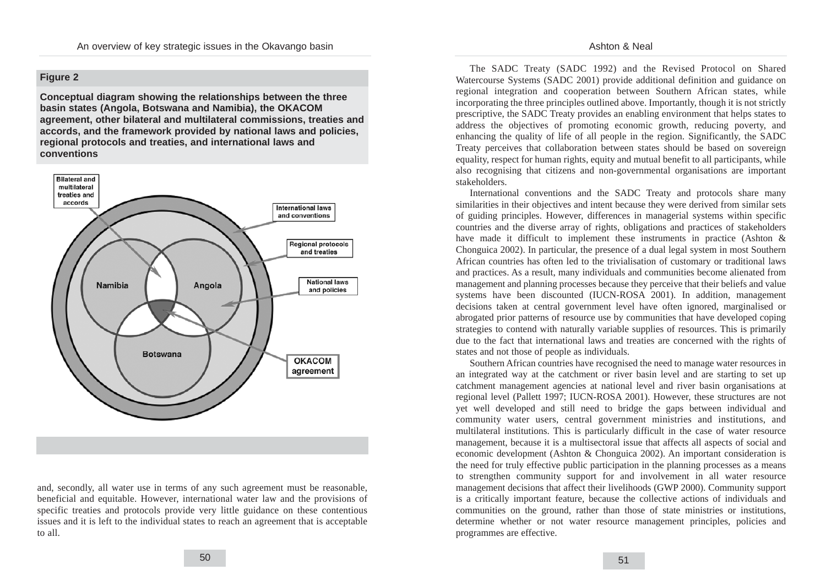### **Figure 2**

**Conceptual diagram showing the relationships between the three basin states (Angola, Botswana and Namibia), the OKACOM agreement, other bilateral and multilateral commissions, treaties and accords, and the framework provided by national laws and policies, regional protocols and treaties, and international laws and conventions**



and, secondly, all water use in terms of any such agreement must be reasonable, beneficial and equitable. However, international water law and the provisions of specific treaties and protocols provide very little guidance on these contentious issues and it is left to the individual states to reach an agreement that is acceptable to all.

The SADC Treaty (SADC 1992) and the Revised Protocol on Shared Watercourse Systems (SADC 2001) provide additional definition and guidance on regional integration and cooperation between Southern African states, while incorporating the three principles outlined above. Importantly, though it is not strictly prescriptive, the SADC Treaty provides an enabling environment that helps states to address the objectives of promoting economic growth, reducing poverty, and enhancing the quality of life of all people in the region. Significantly, the SADC Treaty perceives that collaboration between states should be based on sovereign equality, respect for human rights, equity and mutual benefit to all participants, while also recognising that citizens and non-governmental organisations are important stakeholders.

International conventions and the SADC Treaty and protocols share many similarities in their objectives and intent because they were derived from similar sets of guiding principles. However, differences in managerial systems within specific countries and the diverse array of rights, obligations and practices of stakeholders have made it difficult to implement these instruments in practice (Ashton & Chonguica 2002). In particular, the presence of a dual legal system in most Southern African countries has often led to the trivialisation of customary or traditional laws and practices. As a result, many individuals and communities become alienated from management and planning processes because they perceive that their beliefs and value systems have been discounted (IUCN-ROSA 2001). In addition, management decisions taken at central government level have often ignored, marginalised or abrogated prior patterns of resource use by communities that have developed coping strategies to contend with naturally variable supplies of resources. This is primarily due to the fact that international laws and treaties are concerned with the rights of states and not those of people as individuals.

Southern African countries have recognised the need to manage water resources in an integrated way at the catchment or river basin level and are starting to set up catchment management agencies at national level and river basin organisations at regional level (Pallett 1997; IUCN-ROSA 2001). However, these structures are not yet well developed and still need to bridge the gaps between individual and community water users, central government ministries and institutions, and multilateral institutions. This is particularly difficult in the case of water resource management, because it is a multisectoral issue that affects all aspects of social and economic development (Ashton & Chonguica 2002). An important consideration is the need for truly effective public participation in the planning processes as a means to strengthen community support for and involvement in all water resource management decisions that affect their livelihoods (GWP 2000). Community support is a critically important feature, because the collective actions of individuals and communities on the ground, rather than those of state ministries or institutions, determine whether or not water resource management principles, policies and programmes are effective.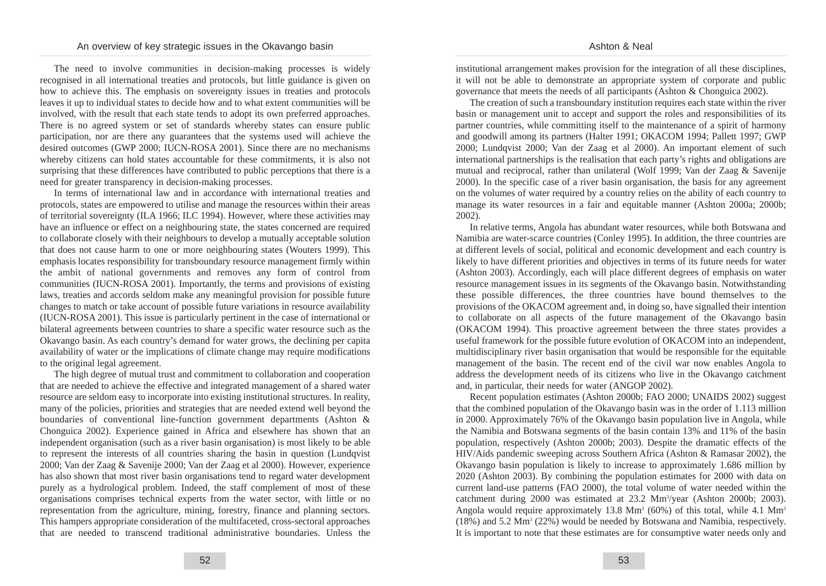The need to involve communities in decision-making processes is widely recognised in all international treaties and protocols, but little guidance is given on how to achieve this. The emphasis on sovereignty issues in treaties and protocols leaves it up to individual states to decide how and to what extent communities will be involved, with the result that each state tends to adopt its own preferred approaches. There is no agreed system or set of standards whereby states can ensure public participation, nor are there any guarantees that the systems used will achieve the desired outcomes (GWP 2000; IUCN-ROSA 2001). Since there are no mechanisms whereby citizens can hold states accountable for these commitments, it is also not surprising that these differences have contributed to public perceptions that there is a need for greater transparency in decision-making processes.

In terms of international law and in accordance with international treaties and protocols, states are empowered to utilise and manage the resources within their areas of territorial sovereignty (ILA 1966; ILC 1994). However, where these activities may have an influence or effect on a neighbouring state, the states concerned are required to collaborate closely with their neighbours to develop a mutually acceptable solution that does not cause harm to one or more neighbouring states (Wouters 1999). This emphasis locates responsibility for transboundary resource management firmly within the ambit of national governments and removes any form of control from communities (IUCN-ROSA 2001). Importantly, the terms and provisions of existing laws, treaties and accords seldom make any meaningful provision for possible future changes to match or take account of possible future variations in resource availability (IUCN-ROSA 2001). This issue is particularly pertinent in the case of international or bilateral agreements between countries to share a specific water resource such as the Okavango basin. As each country's demand for water grows, the declining per capita availability of water or the implications of climate change may require modifications to the original legal agreement.

The high degree of mutual trust and commitment to collaboration and cooperation that are needed to achieve the effective and integrated management of a shared water resource are seldom easy to incorporate into existing institutional structures. In reality, many of the policies, priorities and strategies that are needed extend well beyond the boundaries of conventional line-function government departments (Ashton & Chonguica 2002). Experience gained in Africa and elsewhere has shown that an independent organisation (such as a river basin organisation) is most likely to be able to represent the interests of all countries sharing the basin in question (Lundqvist 2000; Van der Zaag & Savenije 2000; Van der Zaag et al 2000). However, experience has also shown that most river basin organisations tend to regard water development purely as a hydrological problem. Indeed, the staff complement of most of these organisations comprises technical experts from the water sector, with little or no representation from the agriculture, mining, forestry, finance and planning sectors. This hampers appropriate consideration of the multifaceted, cross-sectoral approaches that are needed to transcend traditional administrative boundaries. Unless the institutional arrangement makes provision for the integration of all these disciplines, it will not be able to demonstrate an appropriate system of corporate and public governance that meets the needs of all participants (Ashton & Chonguica 2002).

The creation of such a transboundary institution requires each state within the river basin or management unit to accept and support the roles and responsibilities of its partner countries, while committing itself to the maintenance of a spirit of harmony and goodwill among its partners (Halter 1991; OKACOM 1994; Pallett 1997; GWP 2000; Lundqvist 2000; Van der Zaag et al 2000). An important element of such international partnerships is the realisation that each party's rights and obligations are mutual and reciprocal, rather than unilateral (Wolf 1999; Van der Zaag & Savenije 2000). In the specific case of a river basin organisation, the basis for any agreement on the volumes of water required by a country relies on the ability of each country to manage its water resources in a fair and equitable manner (Ashton 2000a; 2000b; 2002).

In relative terms, Angola has abundant water resources, while both Botswana and Namibia are water-scarce countries (Conley 1995). In addition, the three countries are at different levels of social, political and economic development and each country is likely to have different priorities and objectives in terms of its future needs for water (Ashton 2003). Accordingly, each will place different degrees of emphasis on water resource management issues in its segments of the Okavango basin. Notwithstanding these possible differences, the three countries have bound themselves to the provisions of the OKACOM agreement and, in doing so, have signalled their intention to collaborate on all aspects of the future management of the Okavango basin (OKACOM 1994). This proactive agreement between the three states provides a useful framework for the possible future evolution of OKACOM into an independent, multidisciplinary river basin organisation that would be responsible for the equitable management of the basin. The recent end of the civil war now enables Angola to address the development needs of its citizens who live in the Okavango catchment and, in particular, their needs for water (ANGOP 2002).

Recent population estimates (Ashton 2000b; FAO 2000; UNAIDS 2002) suggest that the combined population of the Okavango basin was in the order of 1.113 million in 2000. Approximately 76% of the Okavango basin population live in Angola, while the Namibia and Botswana segments of the basin contain 13% and 11% of the basin population, respectively (Ashton 2000b; 2003). Despite the dramatic effects of the HIV/Aids pandemic sweeping across Southern Africa (Ashton & Ramasar 2002), the Okavango basin population is likely to increase to approximately 1.686 million by 2020 (Ashton 2003). By combining the population estimates for 2000 with data on current land-use patterns (FAO 2000), the total volume of water needed within the catchment during 2000 was estimated at 23.2 Mm<sup>3</sup>/year (Ashton 2000b; 2003). Angola would require approximately 13.8  $\text{Mm}^3$  (60%) of this total, while 4.1  $\text{Mm}^3$ (18%) and 5.2 Mm3 (22%) would be needed by Botswana and Namibia, respectively. It is important to note that these estimates are for consumptive water needs only and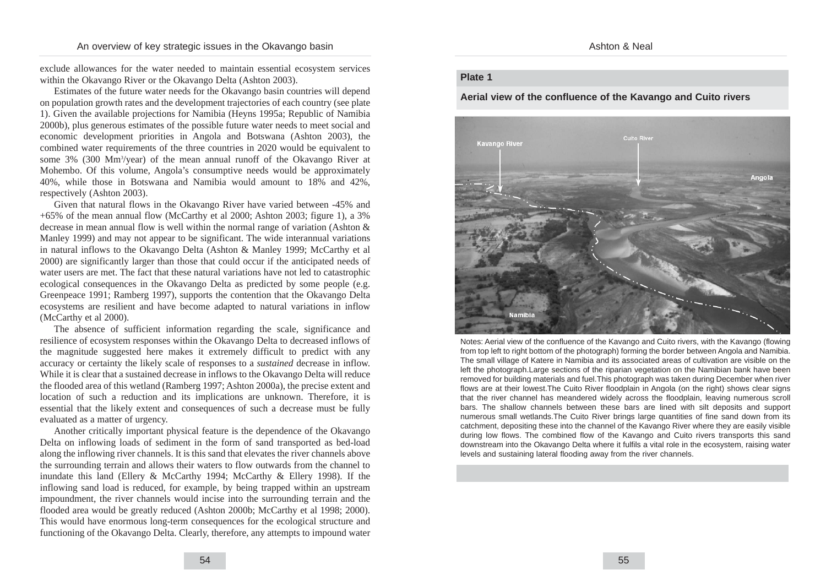exclude allowances for the water needed to maintain essential ecosystem services within the Okavango River or the Okavango Delta (Ashton 2003).

Estimates of the future water needs for the Okavango basin countries will depend on population growth rates and the development trajectories of each country (see plate 1). Given the available projections for Namibia (Heyns 1995a; Republic of Namibia 2000b), plus generous estimates of the possible future water needs to meet social and economic development priorities in Angola and Botswana (Ashton 2003), the combined water requirements of the three countries in 2020 would be equivalent to some 3% (300 Mm<sup>3</sup>/year) of the mean annual runoff of the Okavango River at Mohembo. Of this volume, Angola's consumptive needs would be approximately 40%, while those in Botswana and Namibia would amount to 18% and 42%, respectively (Ashton 2003).

Given that natural flows in the Okavango River have varied between -45% and +65% of the mean annual flow (McCarthy et al 2000; Ashton 2003; figure 1), a 3% decrease in mean annual flow is well within the normal range of variation (Ashton & Manley 1999) and may not appear to be significant. The wide interannual variations in natural inflows to the Okavango Delta (Ashton & Manley 1999; McCarthy et al 2000) are significantly larger than those that could occur if the anticipated needs of water users are met. The fact that these natural variations have not led to catastrophic ecological consequences in the Okavango Delta as predicted by some people (e.g. Greenpeace 1991; Ramberg 1997), supports the contention that the Okavango Delta ecosystems are resilient and have become adapted to natural variations in inflow (McCarthy et al 2000).

The absence of sufficient information regarding the scale, significance and resilience of ecosystem responses within the Okavango Delta to decreased inflows of the magnitude suggested here makes it extremely difficult to predict with any accuracy or certainty the likely scale of responses to a *sustained* decrease in inflow. While it is clear that a sustained decrease in inflows to the Okavango Delta will reduce the flooded area of this wetland (Ramberg 1997; Ashton 2000a), the precise extent and location of such a reduction and its implications are unknown. Therefore, it is essential that the likely extent and consequences of such a decrease must be fully evaluated as a matter of urgency.

Another critically important physical feature is the dependence of the Okavango Delta on inflowing loads of sediment in the form of sand transported as bed-load along the inflowing river channels. It is this sand that elevates the river channels above the surrounding terrain and allows their waters to flow outwards from the channel to inundate this land (Ellery & McCarthy 1994; McCarthy & Ellery 1998). If the inflowing sand load is reduced, for example, by being trapped within an upstream impoundment, the river channels would incise into the surrounding terrain and the flooded area would be greatly reduced (Ashton 2000b; McCarthy et al 1998; 2000). This would have enormous long-term consequences for the ecological structure and functioning of the Okavango Delta. Clearly, therefore, any attempts to impound water

### **Plate 1**

#### **Aerial view of the confluence of the Kavango and Cuito rivers**



Notes: Aerial view of the confluence of the Kavango and Cuito rivers, with the Kavango (flowing from top left to right bottom of the photograph) forming the border between Angola and Namibia. The small village of Katere in Namibia and its associated areas of cultivation are visible on the left the photograph.Large sections of the riparian vegetation on the Namibian bank have been removed for building materials and fuel.This photograph was taken during December when river flows are at their lowest.The Cuito River floodplain in Angola (on the right) shows clear signs that the river channel has meandered widely across the floodplain, leaving numerous scroll bars. The shallow channels between these bars are lined with silt deposits and support numerous small wetlands.The Cuito River brings large quantities of fine sand down from its catchment, depositing these into the channel of the Kavango River where they are easily visible during low flows. The combined flow of the Kavango and Cuito rivers transports this sand downstream into the Okavango Delta where it fulfils a vital role in the ecosystem, raising water levels and sustaining lateral flooding away from the river channels.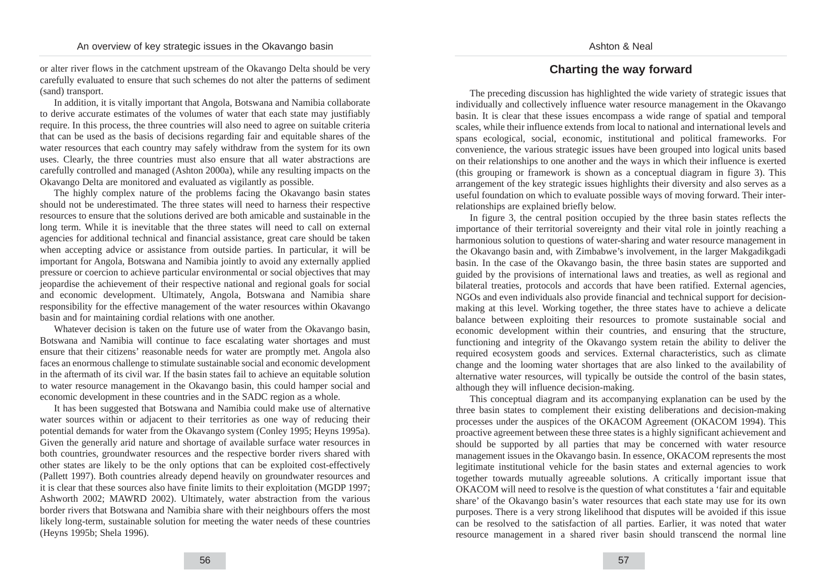or alter river flows in the catchment upstream of the Okavango Delta should be very carefully evaluated to ensure that such schemes do not alter the patterns of sediment (sand) transport.

In addition, it is vitally important that Angola, Botswana and Namibia collaborate to derive accurate estimates of the volumes of water that each state may justifiably require. In this process, the three countries will also need to agree on suitable criteria that can be used as the basis of decisions regarding fair and equitable shares of the water resources that each country may safely withdraw from the system for its own uses. Clearly, the three countries must also ensure that all water abstractions are carefully controlled and managed (Ashton 2000a), while any resulting impacts on the Okavango Delta are monitored and evaluated as vigilantly as possible.

The highly complex nature of the problems facing the Okavango basin states should not be underestimated. The three states will need to harness their respective resources to ensure that the solutions derived are both amicable and sustainable in the long term. While it is inevitable that the three states will need to call on external agencies for additional technical and financial assistance, great care should be taken when accepting advice or assistance from outside parties. In particular, it will be important for Angola, Botswana and Namibia jointly to avoid any externally applied pressure or coercion to achieve particular environmental or social objectives that may jeopardise the achievement of their respective national and regional goals for social and economic development. Ultimately, Angola, Botswana and Namibia share responsibility for the effective management of the water resources within Okavango basin and for maintaining cordial relations with one another.

Whatever decision is taken on the future use of water from the Okavango basin, Botswana and Namibia will continue to face escalating water shortages and must ensure that their citizens' reasonable needs for water are promptly met. Angola also faces an enormous challenge to stimulate sustainable social and economic development in the aftermath of its civil war. If the basin states fail to achieve an equitable solution to water resource management in the Okavango basin, this could hamper social and economic development in these countries and in the SADC region as a whole.

It has been suggested that Botswana and Namibia could make use of alternative water sources within or adjacent to their territories as one way of reducing their potential demands for water from the Okavango system (Conley 1995; Heyns 1995a). Given the generally arid nature and shortage of available surface water resources in both countries, groundwater resources and the respective border rivers shared with other states are likely to be the only options that can be exploited cost-effectively (Pallett 1997). Both countries already depend heavily on groundwater resources and it is clear that these sources also have finite limits to their exploitation (MGDP 1997; Ashworth 2002; MAWRD 2002). Ultimately, water abstraction from the various border rivers that Botswana and Namibia share with their neighbours offers the most likely long-term, sustainable solution for meeting the water needs of these countries (Heyns 1995b; Shela 1996).

# **Charting the way forward**

The preceding discussion has highlighted the wide variety of strategic issues that individually and collectively influence water resource management in the Okavango basin. It is clear that these issues encompass a wide range of spatial and temporal scales, while their influence extends from local to national and international levels and spans ecological, social, economic, institutional and political frameworks. For convenience, the various strategic issues have been grouped into logical units based on their relationships to one another and the ways in which their influence is exerted (this grouping or framework is shown as a conceptual diagram in figure 3). This arrangement of the key strategic issues highlights their diversity and also serves as a useful foundation on which to evaluate possible ways of moving forward. Their interrelationships are explained briefly below.

In figure 3, the central position occupied by the three basin states reflects the importance of their territorial sovereignty and their vital role in jointly reaching a harmonious solution to questions of water-sharing and water resource management in the Okavango basin and, with Zimbabwe's involvement, in the larger Makgadikgadi basin. In the case of the Okavango basin, the three basin states are supported and guided by the provisions of international laws and treaties, as well as regional and bilateral treaties, protocols and accords that have been ratified. External agencies, NGOs and even individuals also provide financial and technical support for decisionmaking at this level. Working together, the three states have to achieve a delicate balance between exploiting their resources to promote sustainable social and economic development within their countries, and ensuring that the structure, functioning and integrity of the Okavango system retain the ability to deliver the required ecosystem goods and services. External characteristics, such as climate change and the looming water shortages that are also linked to the availability of alternative water resources, will typically be outside the control of the basin states, although they will influence decision-making.

This conceptual diagram and its accompanying explanation can be used by the three basin states to complement their existing deliberations and decision-making processes under the auspices of the OKACOM Agreement (OKACOM 1994). This proactive agreement between these three states is a highly significant achievement and should be supported by all parties that may be concerned with water resource management issues in the Okavango basin. In essence, OKACOM represents the most legitimate institutional vehicle for the basin states and external agencies to work together towards mutually agreeable solutions. A critically important issue that OKACOM will need to resolve is the question of what constitutes a 'fair and equitable share' of the Okavango basin's water resources that each state may use for its own purposes. There is a very strong likelihood that disputes will be avoided if this issue can be resolved to the satisfaction of all parties. Earlier, it was noted that water resource management in a shared river basin should transcend the normal line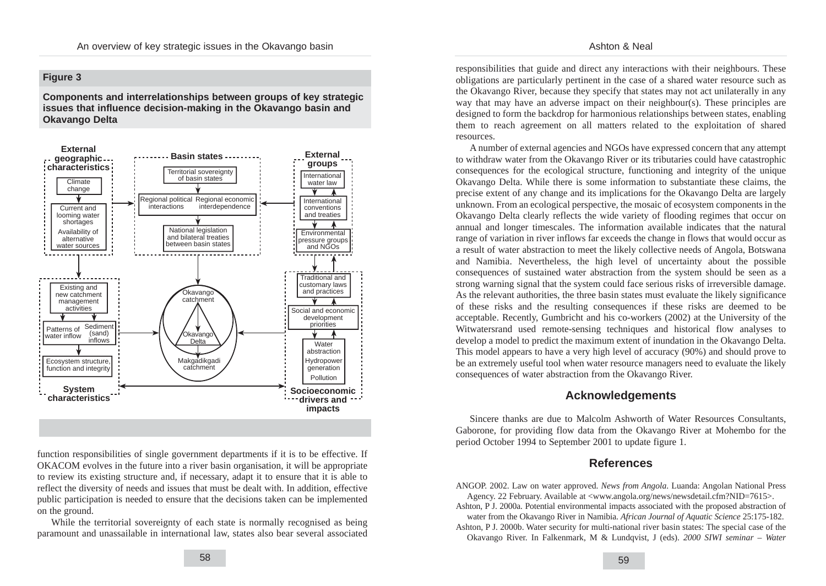#### Ashton & Neal

### **Figure 3**

**Components and interrelationships between groups of key strategic issues that influence decision-making in the Okavango basin and Okavango Delta**



function responsibilities of single government departments if it is to be effective. If OKACOM evolves in the future into a river basin organisation, it will be appropriate to review its existing structure and, if necessary, adapt it to ensure that it is able to reflect the diversity of needs and issues that must be dealt with. In addition, effective public participation is needed to ensure that the decisions taken can be implemented on the ground.

While the territorial sovereignty of each state is normally recognised as being paramount and unassailable in international law, states also bear several associated responsibilities that guide and direct any interactions with their neighbours. These obligations are particularly pertinent in the case of a shared water resource such as the Okavango River, because they specify that states may not act unilaterally in any way that may have an adverse impact on their neighbour(s). These principles are designed to form the backdrop for harmonious relationships between states, enabling them to reach agreement on all matters related to the exploitation of shared resources.

A number of external agencies and NGOs have expressed concern that any attempt to withdraw water from the Okavango River or its tributaries could have catastrophic consequences for the ecological structure, functioning and integrity of the unique Okavango Delta. While there is some information to substantiate these claims, the precise extent of any change and its implications for the Okavango Delta are largely unknown. From an ecological perspective, the mosaic of ecosystem components in the Okavango Delta clearly reflects the wide variety of flooding regimes that occur on annual and longer timescales. The information available indicates that the natural range of variation in river inflows far exceeds the change in flows that would occur as a result of water abstraction to meet the likely collective needs of Angola, Botswana and Namibia. Nevertheless, the high level of uncertainty about the possible consequences of sustained water abstraction from the system should be seen as a strong warning signal that the system could face serious risks of irreversible damage. As the relevant authorities, the three basin states must evaluate the likely significance of these risks and the resulting consequences if these risks are deemed to be acceptable. Recently, Gumbricht and his co-workers (2002) at the University of the Witwatersrand used remote-sensing techniques and historical flow analyses to develop a model to predict the maximum extent of inundation in the Okavango Delta. This model appears to have a very high level of accuracy (90%) and should prove to be an extremely useful tool when water resource managers need to evaluate the likely consequences of water abstraction from the Okavango River.

### **Acknowledgements**

Sincere thanks are due to Malcolm Ashworth of Water Resources Consultants, Gaborone, for providing flow data from the Okavango River at Mohembo for the period October 1994 to September 2001 to update figure 1.

### **References**

ANGOP. 2002. Law on water approved. *News from Angola*. Luanda: Angolan National Press Agency. 22 February. Available at <www.angola.org/news/newsdetail.cfm?NID=7615>.

Ashton, P J. 2000a. Potential environmental impacts associated with the proposed abstraction of water from the Okavango River in Namibia. *African Journal of Aquatic Science* 25:175-182.

Ashton, P J. 2000b. Water security for multi-national river basin states: The special case of the Okavango River. In Falkenmark, M & Lundqvist, J (eds). *2000 SIWI seminar – Water*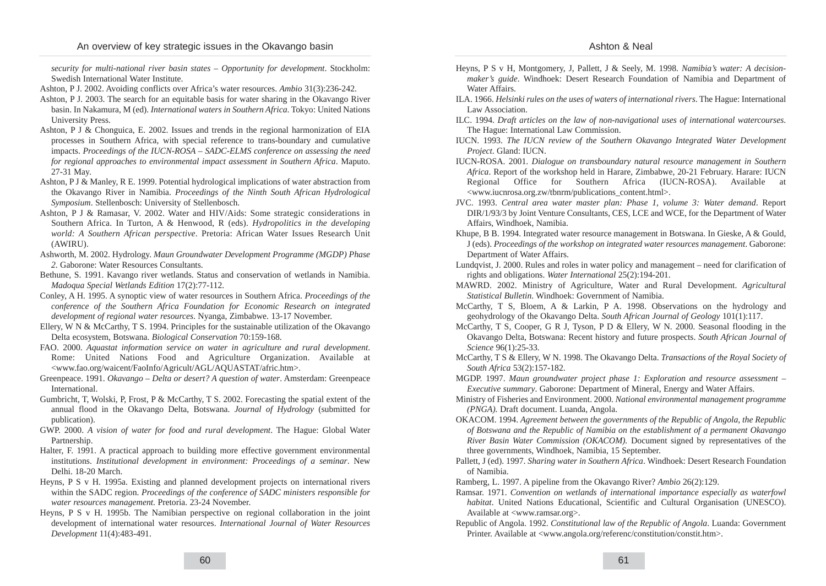*security for multi-national river basin states – Opportunity for development*. Stockholm: Swedish International Water Institute.

- Ashton, P J. 2002. Avoiding conflicts over Africa's water resources. *Ambio* 31(3):236-242.
- Ashton, P J. 2003. The search for an equitable basis for water sharing in the Okavango River basin. In Nakamura, M (ed). *International waters in Southern Africa*. Tokyo: United Nations University Press.
- Ashton, P J & Chonguica, E. 2002. Issues and trends in the regional harmonization of EIA processes in Southern Africa, with special reference to trans-boundary and cumulative impacts. *Proceedings of the IUCN-ROSA – SADC-ELMS conference on assessing the need for regional approaches to environmental impact assessment in Southern Africa*. Maputo. 27-31 May.
- Ashton, P J & Manley, R E. 1999. Potential hydrological implications of water abstraction from the Okavango River in Namibia. *Proceedings of the Ninth South African Hydrological Symposium*. Stellenbosch: University of Stellenbosch.
- Ashton, P J & Ramasar, V. 2002. Water and HIV/Aids: Some strategic considerations in Southern Africa. In Turton, A & Henwood, R (eds). *Hydropolitics in the developing world: A Southern African perspective*. Pretoria: African Water Issues Research Unit (AWIRU).
- Ashworth, M. 2002. Hydrology. *Maun Groundwater Development Programme (MGDP) Phase 2*. Gaborone: Water Resources Consultants.
- Bethune, S. 1991. Kavango river wetlands. Status and conservation of wetlands in Namibia. *Madoqua Special Wetlands Edition* 17(2):77-112.
- Conley, A H. 1995. A synoptic view of water resources in Southern Africa. *Proceedings of the conference of the Southern Africa Foundation for Economic Research on integrated development of regional water resources*. Nyanga, Zimbabwe. 13-17 November.
- Ellery, W N & McCarthy, T S. 1994. Principles for the sustainable utilization of the Okavango Delta ecosystem, Botswana. *Biological Conservation* 70:159-168.
- FAO. 2000. *Aquastat information service on water in agriculture and rural development*. Rome: United Nations Food and Agriculture Organization. Available at <www.fao.org/waicent/FaoInfo/Agricult/AGL/AQUASTAT/afric.htm>.
- Greenpeace. 1991. *Okavango Delta or desert? A question of water*. Amsterdam: Greenpeace International.
- Gumbricht, T, Wolski, P, Frost, P & McCarthy, T S. 2002. Forecasting the spatial extent of the annual flood in the Okavango Delta, Botswana. *Journal of Hydrology* (submitted for publication).
- GWP. 2000. *A vision of water for food and rural development*. The Hague: Global Water Partnership.
- Halter, F. 1991. A practical approach to building more effective government environmental institutions. *Institutional development in environment: Proceedings of a seminar*. New Delhi. 18-20 March.
- Heyns, P S v H. 1995a. Existing and planned development projects on international rivers within the SADC region. *Proceedings of the conference of SADC ministers responsible for water resources management.* Pretoria. 23-24 November.
- Heyns, P S v H. 1995b. The Namibian perspective on regional collaboration in the joint development of international water resources. *International Journal of Water Resources Development* 11(4):483-491.
- Heyns, P S v H, Montgomery, J, Pallett, J & Seely, M. 1998. *Namibia's water: A decisionmaker's guide*. Windhoek: Desert Research Foundation of Namibia and Department of Water Affairs.
- ILA. 1966. *Helsinki rules on the uses of waters of international rivers*. The Hague: International Law Association.
- ILC. 1994. *Draft articles on the law of non-navigational uses of international watercourses*. The Hague: International Law Commission.
- IUCN. 1993. *The IUCN review of the Southern Okavango Integrated Water Development Project*. Gland: IUCN.
- IUCN-ROSA. 2001. *Dialogue on transboundary natural resource management in Southern Africa*. Report of the workshop held in Harare, Zimbabwe, 20-21 February. Harare: IUCN Regional Office for Southern Africa (IUCN-ROSA). Available at <www.iucnrosa.org.zw/tbnrm/publications\_content.html>.
- JVC. 1993. *Central area water master plan: Phase 1, volume 3: Water demand*. Report DIR/1/93/3 by Joint Venture Consultants, CES, LCE and WCE, for the Department of Water Affairs, Windhoek, Namibia.
- Khupe, B B. 1994. Integrated water resource management in Botswana. In Gieske, A & Gould, J (eds). *Proceedings of the workshop on integrated water resources management*. Gaborone: Department of Water Affairs.
- Lundqvist, J. 2000. Rules and roles in water policy and management need for clarification of rights and obligations. *Water International* 25(2):194-201.
- MAWRD. 2002. Ministry of Agriculture, Water and Rural Development. *Agricultural Statistical Bulletin*. Windhoek: Government of Namibia.
- McCarthy, T S, Bloem, A & Larkin, P A. 1998. Observations on the hydrology and geohydrology of the Okavango Delta. *South African Journal of Geology* 101(1):117.
- McCarthy, T S, Cooper, G R J, Tyson, P D & Ellery, W N. 2000. Seasonal flooding in the Okavango Delta, Botswana: Recent history and future prospects. *South African Journal of Science* 96(1):25-33.
- McCarthy, T S & Ellery, W N. 1998. The Okavango Delta. *Transactions of the Royal Society of South Africa* 53(2):157-182.
- MGDP. 1997. *Maun groundwater project phase 1: Exploration and resource assessment – Executive summary*. Gaborone: Department of Mineral, Energy and Water Affairs.
- Ministry of Fisheries and Environment. 2000. *National environmental management programme (PNGA).* Draft document. Luanda, Angola.
- OKACOM. 1994. *Agreement between the governments of the Republic of Angola, the Republic of Botswana and the Republic of Namibia on the establishment of a permanent Okavango River Basin Water Commission (OKACOM).* Document signed by representatives of the three governments, Windhoek, Namibia, 15 September.
- Pallett, J (ed). 1997. *Sharing water in Southern Africa*. Windhoek: Desert Research Foundation of Namibia.
- Ramberg, L. 1997. A pipeline from the Okavango River? *Ambio* 26(2):129.
- Ramsar. 1971. *Convention on wetlands of international importance especially as waterfowl habitat*. United Nations Educational, Scientific and Cultural Organisation (UNESCO). Available at <www.ramsar.org>.
- Republic of Angola. 1992. *Constitutional law of the Republic of Angola*. Luanda: Government Printer. Available at <www.angola.org/referenc/constitution/constit.htm>.